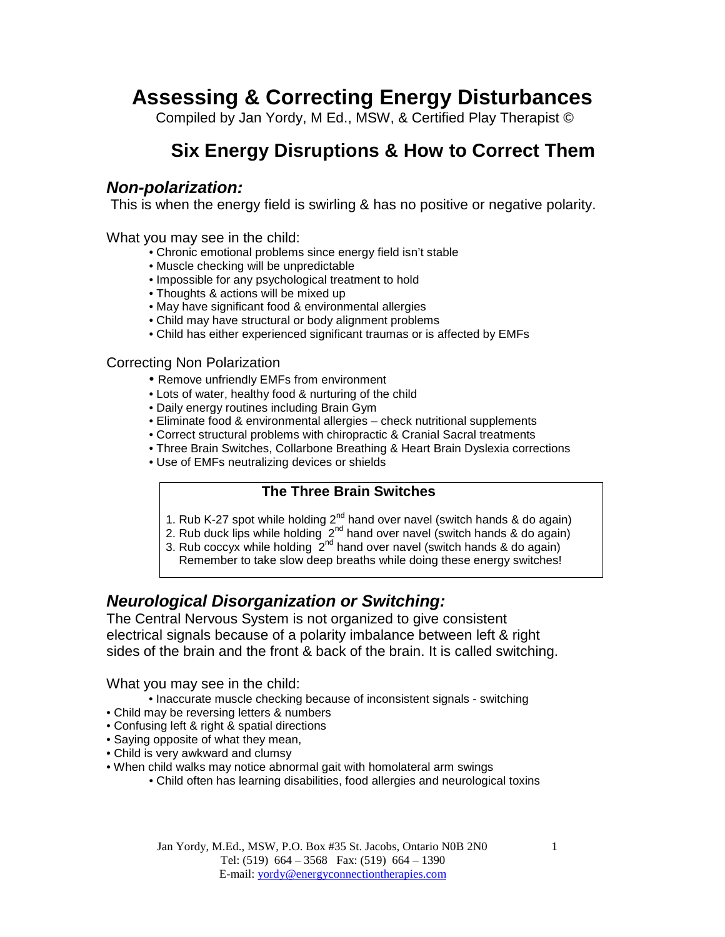# **Assessing & Correcting Energy Disturbances**

Compiled by Jan Yordy, M Ed., MSW, & Certified Play Therapist ©

# **Six Energy Disruptions & How to Correct Them**

### **Non-polarization:**

This is when the energy field is swirling & has no positive or negative polarity.

What you may see in the child:

- Chronic emotional problems since energy field isn't stable
- Muscle checking will be unpredictable
- Impossible for any psychological treatment to hold
- Thoughts & actions will be mixed up
- May have significant food & environmental allergies
- Child may have structural or body alignment problems
- Child has either experienced significant traumas or is affected by EMFs

#### Correcting Non Polarization

- Remove unfriendly EMFs from environment
- Lots of water, healthy food & nurturing of the child
- Daily energy routines including Brain Gym
- Eliminate food & environmental allergies check nutritional supplements
- Correct structural problems with chiropractic & Cranial Sacral treatments
- Three Brain Switches, Collarbone Breathing & Heart Brain Dyslexia corrections
- Use of EMFs neutralizing devices or shields

#### **The Three Brain Switches**

- 1. Rub K-27 spot while holding  $2^{nd}$  hand over navel (switch hands & do again)
- 2. Rub duck lips while holding  $2^{nd}$  hand over navel (switch hands & do again)
- 3. Rub coccyx while holding  $2^{nd}$  hand over navel (switch hands & do again) Remember to take slow deep breaths while doing these energy switches!

### **Neurological Disorganization or Switching:**

The Central Nervous System is not organized to give consistent electrical signals because of a polarity imbalance between left & right sides of the brain and the front & back of the brain. It is called switching.

What you may see in the child:

- Inaccurate muscle checking because of inconsistent signals switching
- Child may be reversing letters & numbers
- Confusing left & right & spatial directions
- Saying opposite of what they mean,
- Child is very awkward and clumsy
- When child walks may notice abnormal gait with homolateral arm swings
	- Child often has learning disabilities, food allergies and neurological toxins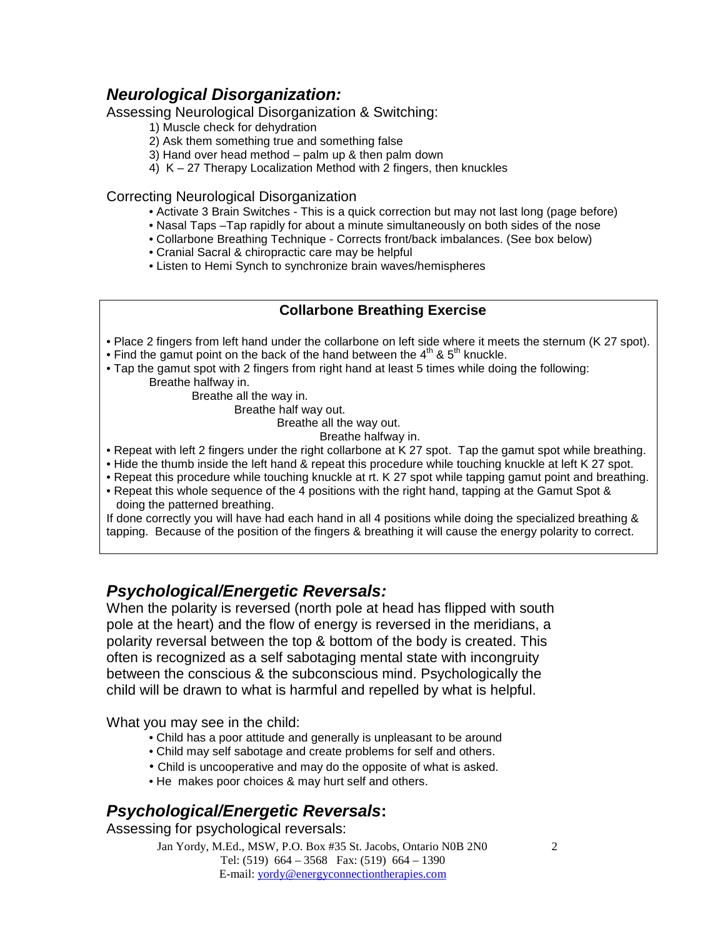### **Neurological Disorganization:**

Assessing Neurological Disorganization & Switching:

- 1) Muscle check for dehydration
- 2) Ask them something true and something false
- 3) Hand over head method palm up & then palm down
- 4) K 27 Therapy Localization Method with 2 fingers, then knuckles

#### Correcting Neurological Disorganization

- Activate 3 Brain Switches This is a quick correction but may not last long (page before)
- Nasal Taps –Tap rapidly for about a minute simultaneously on both sides of the nose
- Collarbone Breathing Technique Corrects front/back imbalances. (See box below)
- Cranial Sacral & chiropractic care may be helpful
- Listen to Hemi Synch to synchronize brain waves/hemispheres

#### **Collarbone Breathing Exercise**

- Place 2 fingers from left hand under the collarbone on left side where it meets the sternum (K 27 spot).
- Find the gamut point on the back of the hand between the  $4<sup>th</sup>$  &  $5<sup>th</sup>$  knuckle.
- Tap the gamut spot with 2 fingers from right hand at least 5 times while doing the following: Breathe halfway in.

Breathe all the way in.

Breathe half way out.

Breathe all the way out.

Breathe halfway in.

- Repeat with left 2 fingers under the right collarbone at K 27 spot. Tap the gamut spot while breathing.
- Hide the thumb inside the left hand & repeat this procedure while touching knuckle at left K 27 spot.
- Repeat this procedure while touching knuckle at rt. K 27 spot while tapping gamut point and breathing.
- Repeat this whole sequence of the 4 positions with the right hand, tapping at the Gamut Spot & doing the patterned breathing.

If done correctly you will have had each hand in all 4 positions while doing the specialized breathing & tapping. Because of the position of the fingers & breathing it will cause the energy polarity to correct.

### **Psychological/Energetic Reversals:**

When the polarity is reversed (north pole at head has flipped with south pole at the heart) and the flow of energy is reversed in the meridians, a polarity reversal between the top & bottom of the body is created. This often is recognized as a self sabotaging mental state with incongruity between the conscious & the subconscious mind. Psychologically the child will be drawn to what is harmful and repelled by what is helpful.

What you may see in the child:

- Child has a poor attitude and generally is unpleasant to be around
- Child may self sabotage and create problems for self and others.
- Child is uncooperative and may do the opposite of what is asked.
- He makes poor choices & may hurt self and others.

# **Psychological/Energetic Reversals:**

Assessing for psychological reversals:

Jan Yordy, M.Ed., MSW, P.O. Box #35 St. Jacobs, Ontario N0B 2N0 Tel: (519) 664 – 3568 Fax: (519) 664 – 1390 E-mail: yordy@energyconnectiontherapies.com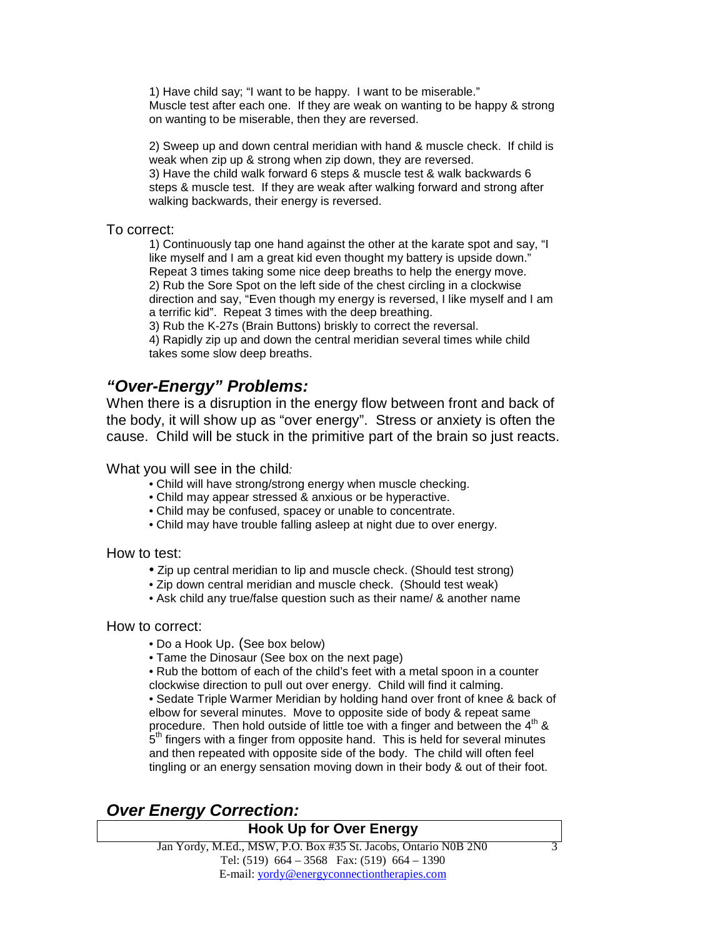1) Have child say; "I want to be happy. I want to be miserable." Muscle test after each one. If they are weak on wanting to be happy & strong on wanting to be miserable, then they are reversed.

2) Sweep up and down central meridian with hand & muscle check. If child is weak when zip up & strong when zip down, they are reversed. 3) Have the child walk forward 6 steps & muscle test & walk backwards 6 steps & muscle test. If they are weak after walking forward and strong after walking backwards, their energy is reversed.

#### To correct:

1) Continuously tap one hand against the other at the karate spot and say, "I like myself and I am a great kid even thought my battery is upside down." Repeat 3 times taking some nice deep breaths to help the energy move. 2) Rub the Sore Spot on the left side of the chest circling in a clockwise direction and say, "Even though my energy is reversed, I like myself and I am a terrific kid". Repeat 3 times with the deep breathing.

3) Rub the K-27s (Brain Buttons) briskly to correct the reversal.

4) Rapidly zip up and down the central meridian several times while child takes some slow deep breaths.

### **"Over-Energy" Problems:**

When there is a disruption in the energy flow between front and back of the body, it will show up as "over energy". Stress or anxiety is often the cause. Child will be stuck in the primitive part of the brain so just reacts.

What you will see in the child:

- Child will have strong/strong energy when muscle checking.
- Child may appear stressed & anxious or be hyperactive.
- Child may be confused, spacey or unable to concentrate.
- Child may have trouble falling asleep at night due to over energy.

#### How to test:

- Zip up central meridian to lip and muscle check. (Should test strong)
- Zip down central meridian and muscle check. (Should test weak)
- Ask child any true/false question such as their name/ & another name

#### How to correct:

- Do a Hook Up. (See box below)
- Tame the Dinosaur (See box on the next page)
- Rub the bottom of each of the child's feet with a metal spoon in a counter

clockwise direction to pull out over energy. Child will find it calming. • Sedate Triple Warmer Meridian by holding hand over front of knee & back of elbow for several minutes. Move to opposite side of body & repeat same procedure. Then hold outside of little toe with a finger and between the  $4<sup>th</sup>$  & .<br>5<sup>th</sup> fingers with a finger from opposite hand. This is held for several minutes and then repeated with opposite side of the body. The child will often feel tingling or an energy sensation moving down in their body & out of their foot.

### **Over Energy Correction:**

#### **Hook Up for Over Energy**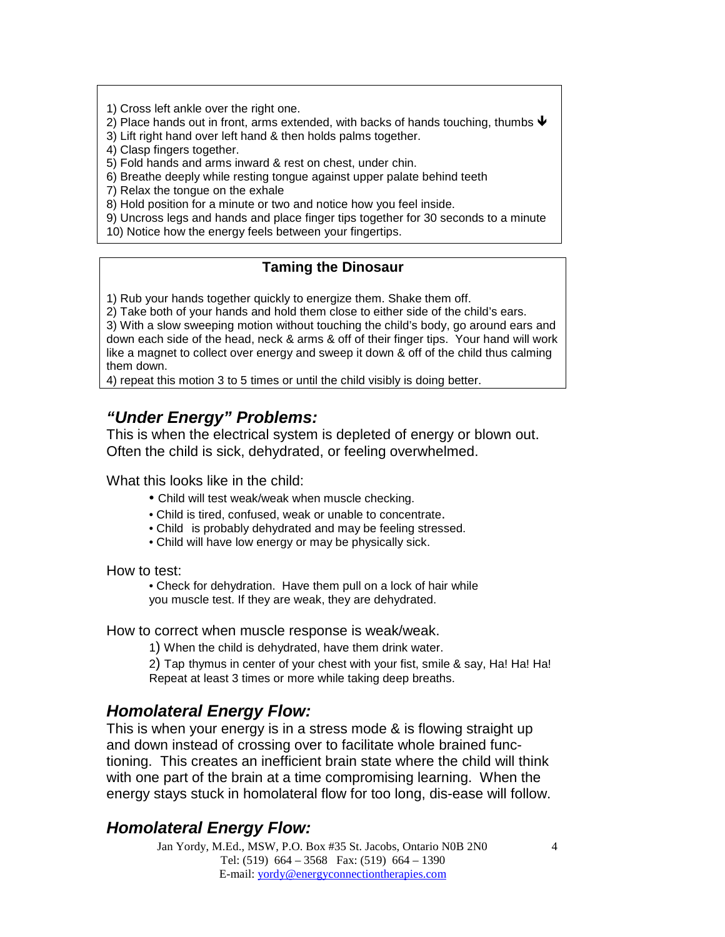1) Cross left ankle over the right one.

2) Place hands out in front, arms extended, with backs of hands touching, thumbs  $\blacklozenge$ 

3) Lift right hand over left hand & then holds palms together.

4) Clasp fingers together.

5) Fold hands and arms inward & rest on chest, under chin.

6) Breathe deeply while resting tongue against upper palate behind teeth

7) Relax the tongue on the exhale

8) Hold position for a minute or two and notice how you feel inside.

9) Uncross legs and hands and place finger tips together for 30 seconds to a minute 10) Notice how the energy feels between your fingertips.

#### **Taming the Dinosaur**

1) Rub your hands together quickly to energize them. Shake them off.

2) Take both of your hands and hold them close to either side of the child's ears.

3) With a slow sweeping motion without touching the child's body, go around ears and down each side of the head, neck & arms & off of their finger tips. Your hand will work like a magnet to collect over energy and sweep it down & off of the child thus calming them down.

4) repeat this motion 3 to 5 times or until the child visibly is doing better.

### **"Under Energy" Problems:**

This is when the electrical system is depleted of energy or blown out. Often the child is sick, dehydrated, or feeling overwhelmed.

What this looks like in the child:

- Child will test weak/weak when muscle checking.
- Child is tired, confused, weak or unable to concentrate.
- Child is probably dehydrated and may be feeling stressed.
- Child will have low energy or may be physically sick.

How to test:

• Check for dehydration. Have them pull on a lock of hair while you muscle test. If they are weak, they are dehydrated.

#### How to correct when muscle response is weak/weak.

1) When the child is dehydrated, have them drink water.

2) Tap thymus in center of your chest with your fist, smile & say, Ha! Ha! Ha! Repeat at least 3 times or more while taking deep breaths.

### **Homolateral Energy Flow:**

This is when your energy is in a stress mode & is flowing straight up and down instead of crossing over to facilitate whole brained functioning. This creates an inefficient brain state where the child will think with one part of the brain at a time compromising learning. When the energy stays stuck in homolateral flow for too long, dis-ease will follow.

### **Homolateral Energy Flow:**

Jan Yordy, M.Ed., MSW, P.O. Box #35 St. Jacobs, Ontario N0B 2N0 Tel: (519) 664 – 3568 Fax: (519) 664 – 1390 E-mail: yordy@energyconnectiontherapies.com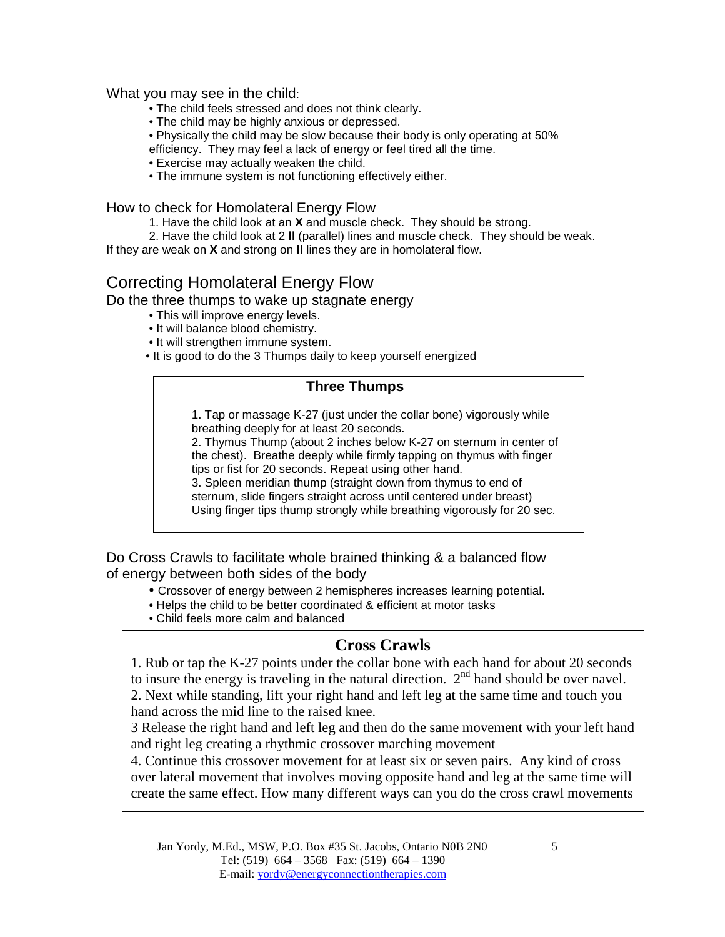#### What you may see in the child:

- The child feels stressed and does not think clearly.
- The child may be highly anxious or depressed.
- Physically the child may be slow because their body is only operating at 50%
- efficiency. They may feel a lack of energy or feel tired all the time.
- Exercise may actually weaken the child.
- The immune system is not functioning effectively either.

How to check for Homolateral Energy Flow

- 1. Have the child look at an **X** and muscle check. They should be strong.
- 2. Have the child look at 2 **ll** (parallel) lines and muscle check. They should be weak. If they are weak on **X** and strong on **ll** lines they are in homolateral flow.

### Correcting Homolateral Energy Flow

Do the three thumps to wake up stagnate energy

- This will improve energy levels.
- It will balance blood chemistry.
- It will strengthen immune system.
- It is good to do the 3 Thumps daily to keep yourself energized

#### **Three Thumps**

1. Tap or massage K-27 (just under the collar bone) vigorously while breathing deeply for at least 20 seconds.

2. Thymus Thump (about 2 inches below K-27 on sternum in center of the chest). Breathe deeply while firmly tapping on thymus with finger tips or fist for 20 seconds. Repeat using other hand.

3. Spleen meridian thump (straight down from thymus to end of sternum, slide fingers straight across until centered under breast) Using finger tips thump strongly while breathing vigorously for 20 sec.

Do Cross Crawls to facilitate whole brained thinking & a balanced flow of energy between both sides of the body

- Crossover of energy between 2 hemispheres increases learning potential.
- Helps the child to be better coordinated & efficient at motor tasks
- Child feels more calm and balanced

#### **Cross Crawls**

1. Rub or tap the K-27 points under the collar bone with each hand for about 20 seconds to insure the energy is traveling in the natural direction.  $2<sup>nd</sup>$  hand should be over navel. 2. Next while standing, lift your right hand and left leg at the same time and touch you hand across the mid line to the raised knee.

3 Release the right hand and left leg and then do the same movement with your left hand and right leg creating a rhythmic crossover marching movement

4. Continue this crossover movement for at least six or seven pairs. Any kind of cross over lateral movement that involves moving opposite hand and leg at the same time will create the same effect. How many different ways can you do the cross crawl movements